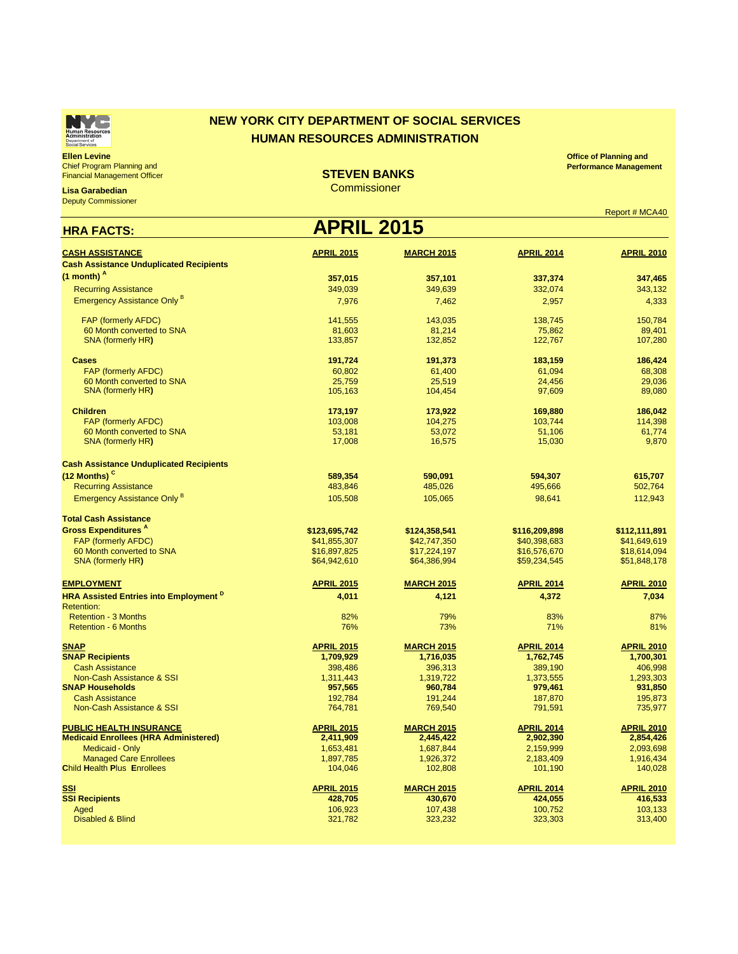

### **NEW YORK CITY DEPARTMENT OF SOCIAL SERVICES HUMAN RESOURCES ADMINISTRATION**

**Ellen Levine** Chief Program Planning and Financial Management Officer

**Lisa Garabedian**

Deputy Commissioner

**STEVEN BANKS**

**Office of Planning and Performance Management** 

**Commissioner** 

| Report # MCA40 |
|----------------|
|----------------|

| <b>APRIL 2015</b><br><b>HRA FACTS:</b>                   |                   |                   |                   |                   |  |  |
|----------------------------------------------------------|-------------------|-------------------|-------------------|-------------------|--|--|
| <b>CASH ASSISTANCE</b>                                   | <b>APRIL 2015</b> | <b>MARCH 2015</b> | <b>APRIL 2014</b> | <b>APRIL 2010</b> |  |  |
| <b>Cash Assistance Unduplicated Recipients</b>           |                   |                   |                   |                   |  |  |
| $(1$ month) $A$                                          | 357,015           | 357,101           | 337,374           | 347,465           |  |  |
| <b>Recurring Assistance</b>                              | 349,039           | 349,639           | 332,074           | 343,132           |  |  |
| <b>Emergency Assistance Only B</b>                       |                   |                   |                   |                   |  |  |
|                                                          | 7,976             | 7,462             | 2,957             | 4,333             |  |  |
| FAP (formerly AFDC)                                      | 141,555           | 143,035           | 138,745           | 150,784           |  |  |
| 60 Month converted to SNA                                | 81,603            | 81,214            | 75,862            | 89,401            |  |  |
| <b>SNA (formerly HR)</b>                                 | 133,857           | 132,852           | 122,767           | 107,280           |  |  |
| <b>Cases</b>                                             | 191,724           | 191,373           | 183,159           | 186,424           |  |  |
| FAP (formerly AFDC)                                      | 60,802            | 61,400            | 61,094            | 68,308            |  |  |
| 60 Month converted to SNA                                | 25.759            | 25.519            | 24,456            | 29,036            |  |  |
| <b>SNA (formerly HR)</b>                                 | 105,163           | 104,454           | 97,609            | 89,080            |  |  |
| <b>Children</b>                                          | 173,197           | 173,922           | 169,880           | 186,042           |  |  |
| FAP (formerly AFDC)                                      | 103,008           | 104,275           | 103.744           | 114,398           |  |  |
| 60 Month converted to SNA                                | 53,181            | 53,072            | 51,106            | 61,774            |  |  |
| <b>SNA (formerly HR)</b>                                 | 17,008            | 16,575            | 15,030            | 9,870             |  |  |
| <b>Cash Assistance Unduplicated Recipients</b>           |                   |                   |                   |                   |  |  |
| (12 Months) <sup>c</sup>                                 | 589,354           | 590,091           | 594,307           | 615,707           |  |  |
| <b>Recurring Assistance</b>                              | 483,846           | 485,026           | 495,666           | 502,764           |  |  |
| <b>Emergency Assistance Only B</b>                       | 105,508           | 105,065           | 98,641            | 112,943           |  |  |
|                                                          |                   |                   |                   |                   |  |  |
| <b>Total Cash Assistance</b>                             |                   |                   |                   |                   |  |  |
| <b>Gross Expenditures</b> A                              | \$123,695,742     | \$124,358,541     | \$116,209,898     | \$112,111,891     |  |  |
| <b>FAP (formerly AFDC)</b>                               | \$41,855,307      | \$42,747,350      | \$40,398,683      | \$41,649,619      |  |  |
| 60 Month converted to SNA                                | \$16,897,825      | \$17,224,197      | \$16,576,670      | \$18,614,094      |  |  |
| <b>SNA (formerly HR)</b>                                 | \$64,942,610      | \$64,386,994      | \$59,234,545      | \$51,848,178      |  |  |
| <b>EMPLOYMENT</b>                                        | <b>APRIL 2015</b> | <b>MARCH 2015</b> | <b>APRIL 2014</b> | <b>APRIL 2010</b> |  |  |
| <b>HRA Assisted Entries into Employment</b> <sup>D</sup> | 4,011             | 4,121             | 4,372             | 7,034             |  |  |
| <b>Retention:</b>                                        |                   |                   |                   |                   |  |  |
| <b>Retention - 3 Months</b>                              | 82%               | 79%               | 83%               | 87%               |  |  |
| <b>Retention - 6 Months</b>                              | 76%               | 73%               | 71%               | 81%               |  |  |
| <b>SNAP</b>                                              | <b>APRIL 2015</b> | <b>MARCH 2015</b> | <b>APRIL 2014</b> | <b>APRIL 2010</b> |  |  |
| <b>SNAP Recipients</b>                                   | 1,709,929         | 1,716,035         | 1,762,745         | 1,700,301         |  |  |
| <b>Cash Assistance</b>                                   | 398,486           | 396,313           | 389,190           | 406,998           |  |  |
| <b>Non-Cash Assistance &amp; SSI</b>                     | 1,311,443         | 1,319,722         | 1,373,555         | 1,293,303         |  |  |
| <b>SNAP Households</b>                                   | 957,565           | 960,784           | 979,461           | 931,850           |  |  |
| <b>Cash Assistance</b>                                   | 192,784           | 191,244           | 187,870           | 195,873           |  |  |
| Non-Cash Assistance & SSI                                | 764,781           | 769,540           | 791,591           | 735,977           |  |  |
| <b>PUBLIC HEALTH INSURANCE</b>                           | <b>APRIL 2015</b> | <b>MARCH 2015</b> | <b>APRIL 2014</b> | <b>APRIL 2010</b> |  |  |
| <b>Medicaid Enrollees (HRA Administered)</b>             | 2,411,909         | 2,445,422         | 2,902,390         | 2,854,426         |  |  |
| <b>Medicaid - Only</b>                                   | 1,653,481         | 1,687,844         | 2,159,999         | 2,093,698         |  |  |
| <b>Managed Care Enrollees</b>                            | 1,897,785         | 1,926,372         | 2,183,409         | 1,916,434         |  |  |
| <b>Child Health Plus Enrollees</b>                       | 104,046           | 102,808           | 101,190           | 140,028           |  |  |
| SSI                                                      | <b>APRIL 2015</b> | <b>MARCH 2015</b> | <b>APRIL 2014</b> | <b>APRIL 2010</b> |  |  |
| <b>SSI Recipients</b>                                    | 428,705           | 430,670           | 424,055           | 416,533           |  |  |
| Aged                                                     | 106,923           | 107,438           | 100,752           | 103,133           |  |  |
| <b>Disabled &amp; Blind</b>                              | 321,782           | 323,232           | 323,303           | 313,400           |  |  |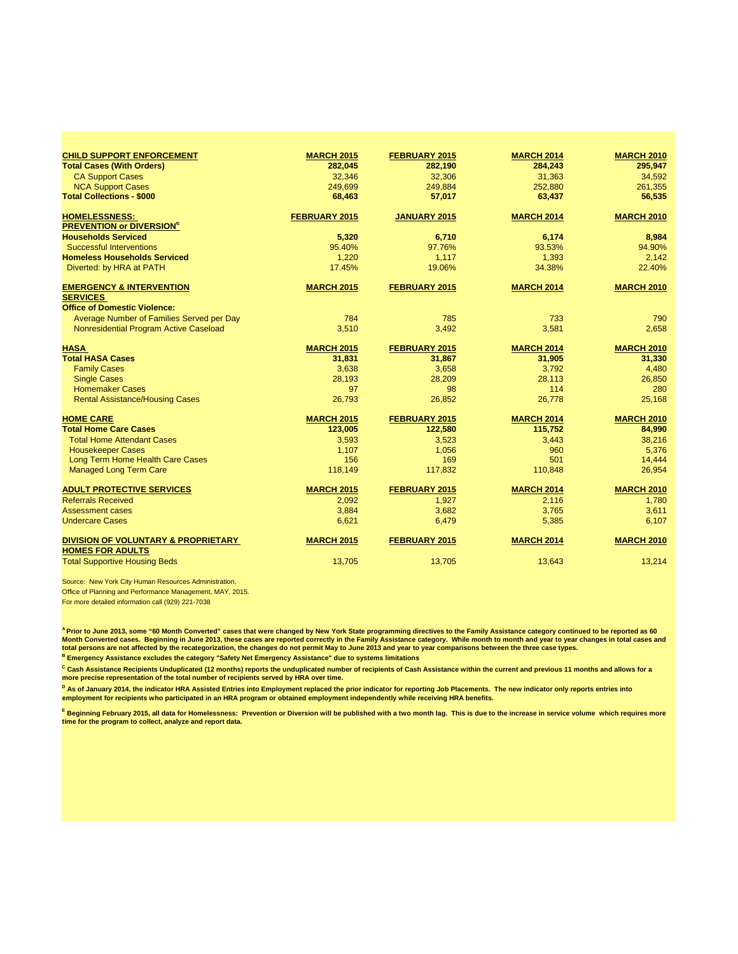| <b>CHILD SUPPORT ENFORCEMENT</b>                                          | <b>MARCH 2015</b>    | FEBRUARY 2015        | <b>MARCH 2014</b> | <b>MARCH 2010</b> |
|---------------------------------------------------------------------------|----------------------|----------------------|-------------------|-------------------|
| <b>Total Cases (With Orders)</b>                                          | 282,045              | 282,190              | 284.243           | 295,947           |
| <b>CA Support Cases</b>                                                   | 32.346               | 32,306               | 31,363            | 34.592            |
| <b>NCA Support Cases</b>                                                  | 249,699              | 249,884              | 252,880           | 261,355           |
| <b>Total Collections - \$000</b>                                          | 68,463               | 57,017               | 63,437            | 56,535            |
| <b>HOMELESSNESS:</b>                                                      | <b>FEBRUARY 2015</b> | <b>JANUARY 2015</b>  | <b>MARCH 2014</b> | <b>MARCH 2010</b> |
| <b>PREVENTION or DIVERSIONE</b>                                           |                      |                      |                   |                   |
| <b>Households Serviced</b>                                                | 5,320                | 6,710                | 6,174             | 8,984             |
| <b>Successful Interventions</b><br><b>Homeless Households Serviced</b>    | 95.40%               | 97.76%               | 93.53%            | 94.90%            |
|                                                                           | 1,220                | 1,117                | 1,393             | 2,142             |
| Diverted: by HRA at PATH                                                  | 17.45%               | 19.06%               | 34.38%            | 22.40%            |
| <b>EMERGENCY &amp; INTERVENTION</b>                                       | <b>MARCH 2015</b>    | FEBRUARY 2015        | <b>MARCH 2014</b> | <b>MARCH 2010</b> |
| <b>SERVICES</b><br><b>Office of Domestic Violence:</b>                    |                      |                      |                   |                   |
| Average Number of Families Served per Day                                 | 784                  | 785                  | 733               | 790               |
| Nonresidential Program Active Caseload                                    | 3,510                | 3.492                | 3,581             | 2.658             |
|                                                                           |                      |                      |                   |                   |
| <b>HASA</b>                                                               | <b>MARCH 2015</b>    | FEBRUARY 2015        | <b>MARCH 2014</b> | <b>MARCH 2010</b> |
| <b>Total HASA Cases</b>                                                   | 31,831               | 31,867               | 31,905            | 31,330            |
| <b>Family Cases</b>                                                       | 3,638                | 3,658                | 3,792             | 4,480             |
| <b>Single Cases</b>                                                       | 28,193               | 28,209               | 28,113            | 26,850            |
| <b>Homemaker Cases</b>                                                    | 97                   | 98                   | 114               | 280               |
| <b>Rental Assistance/Housing Cases</b>                                    | 26,793               | 26,852               | 26.778            | 25.168            |
| <b>HOME CARE</b>                                                          | <b>MARCH 2015</b>    | <b>FEBRUARY 2015</b> | <b>MARCH 2014</b> | <b>MARCH 2010</b> |
| <b>Total Home Care Cases</b>                                              | 123,005              | 122,580              | 115,752           | 84,990            |
| <b>Total Home Attendant Cases</b>                                         | 3,593                | 3,523                | 3.443             | 38,216            |
| <b>Housekeeper Cases</b>                                                  | 1,107                | 1,056                | 960               | 5.376             |
| Long Term Home Health Care Cases                                          | 156                  | 169                  | 501               | 14,444            |
| <b>Managed Long Term Care</b>                                             | 118,149              | 117,832              | 110,848           | 26,954            |
| <b>ADULT PROTECTIVE SERVICES</b>                                          | <b>MARCH 2015</b>    | FEBRUARY 2015        | <b>MARCH 2014</b> | <b>MARCH 2010</b> |
| <b>Referrals Received</b>                                                 | 2.092                | 1.927                | 2.116             | 1.780             |
| <b>Assessment cases</b>                                                   | 3,884                | 3,682                | 3,765             | 3,611             |
| <b>Undercare Cases</b>                                                    | 6,621                | 6,479                | 5,385             | 6,107             |
| <b>DIVISION OF VOLUNTARY &amp; PROPRIETARY</b><br><b>HOMES FOR ADULTS</b> | <b>MARCH 2015</b>    | FEBRUARY 2015        | <b>MARCH 2014</b> | <b>MARCH 2010</b> |
| <b>Total Supportive Housing Beds</b>                                      | 13,705               | 13,705               | 13,643            | 13.214            |

Source: New York City Human Resources Administration,

Office of Planning and Performance Management, MAY, 2015.

For more detailed information call (929) 221-7038

<sup>^</sup> Prior to June 2013, some "60 Month Converted" cases that were changed by New York State programming directives to the Family Assistance category continued to be reported as 60<br>Month Converted cases. Beginning in June **total persons are not affected by the recategorization, the changes do not permit May to June 2013 and year to year comparisons between the three case types.** 

**B Emergency Assistance excludes the category "Safety Net Emergency Assistance" due to systems limitations**

<sup>C</sup> Cash Assistance Recipients Unduplicated (12 months) reports the unduplicated number of recipients of Cash Assistance within the current and previous 11 months and allows for a **more precise representation of the total number of recipients served by HRA over time.**

<sup>D</sup> As of January 2014, the indicator HRA Assisted Entries into Employment replaced the prior indicator for reporting Job Placements. The new indicator only reports entries into<br>employment for recipients who participated i

**<sup>E</sup> Beginning February 2015, all data for Homelessness: Prevention or Diversion will be published with a two month lag. This is due to the increase in service volume which requires more time for the program to collect, analyze and report data.**